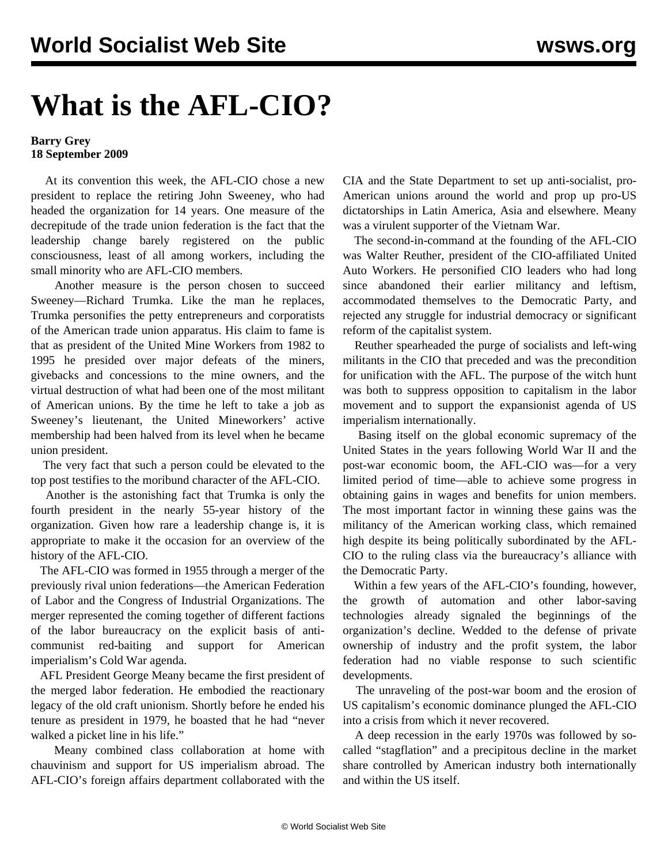## **What is the AFL-CIO?**

## **Barry Grey 18 September 2009**

 At its convention this week, the AFL-CIO chose a new president to replace the retiring John Sweeney, who had headed the organization for 14 years. One measure of the decrepitude of the trade union federation is the fact that the leadership change barely registered on the public consciousness, least of all among workers, including the small minority who are AFL-CIO members.

 Another measure is the person chosen to succeed Sweeney—Richard Trumka. Like the man he replaces, Trumka personifies the petty entrepreneurs and corporatists of the American trade union apparatus. His claim to fame is that as president of the United Mine Workers from 1982 to 1995 he presided over major defeats of the miners, givebacks and concessions to the mine owners, and the virtual destruction of what had been one of the most militant of American unions. By the time he left to take a job as Sweeney's lieutenant, the United Mineworkers' active membership had been halved from its level when he became union president.

 The very fact that such a person could be elevated to the top post testifies to the moribund character of the AFL-CIO.

 Another is the astonishing fact that Trumka is only the fourth president in the nearly 55-year history of the organization. Given how rare a leadership change is, it is appropriate to make it the occasion for an overview of the history of the AFL-CIO.

 The AFL-CIO was formed in 1955 through a merger of the previously rival union federations—the American Federation of Labor and the Congress of Industrial Organizations. The merger represented the coming together of different factions of the labor bureaucracy on the explicit basis of anticommunist red-baiting and support for American imperialism's Cold War agenda.

 AFL President George Meany became the first president of the merged labor federation. He embodied the reactionary legacy of the old craft unionism. Shortly before he ended his tenure as president in 1979, he boasted that he had "never walked a picket line in his life."

 Meany combined class collaboration at home with chauvinism and support for US imperialism abroad. The AFL-CIO's foreign affairs department collaborated with the CIA and the State Department to set up anti-socialist, pro-American unions around the world and prop up pro-US dictatorships in Latin America, Asia and elsewhere. Meany was a virulent supporter of the Vietnam War.

 The second-in-command at the founding of the AFL-CIO was Walter Reuther, president of the CIO-affiliated United Auto Workers. He personified CIO leaders who had long since abandoned their earlier militancy and leftism, accommodated themselves to the Democratic Party, and rejected any struggle for industrial democracy or significant reform of the capitalist system.

 Reuther spearheaded the purge of socialists and left-wing militants in the CIO that preceded and was the precondition for unification with the AFL. The purpose of the witch hunt was both to suppress opposition to capitalism in the labor movement and to support the expansionist agenda of US imperialism internationally.

 Basing itself on the global economic supremacy of the United States in the years following World War II and the post-war economic boom, the AFL-CIO was—for a very limited period of time—able to achieve some progress in obtaining gains in wages and benefits for union members. The most important factor in winning these gains was the militancy of the American working class, which remained high despite its being politically subordinated by the AFL-CIO to the ruling class via the bureaucracy's alliance with the Democratic Party.

 Within a few years of the AFL-CIO's founding, however, the growth of automation and other labor-saving technologies already signaled the beginnings of the organization's decline. Wedded to the defense of private ownership of industry and the profit system, the labor federation had no viable response to such scientific developments.

 The unraveling of the post-war boom and the erosion of US capitalism's economic dominance plunged the AFL-CIO into a crisis from which it never recovered.

 A deep recession in the early 1970s was followed by socalled "stagflation" and a precipitous decline in the market share controlled by American industry both internationally and within the US itself.